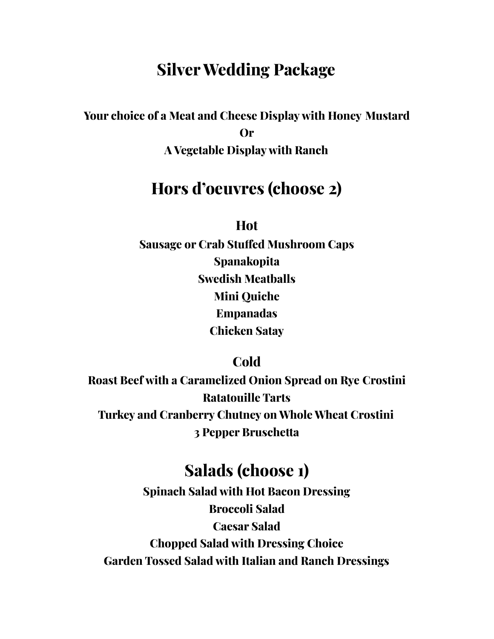# **Silver Wedding Package**

**Your choice of a Meat and Cheese Display with Honey Mustard Or A Vegetable Display with Ranch**

## **Hors d'oeuvres (choose 2)**

**Hot**

**Sausage or Crab Stuffed Mushroom Caps Spanakopita Swedish Meatballs Mini Quiche Empanadas Chicken Satay**

**Cold**

**Roast Beef with a Caramelized Onion Spread on Rye Crostini Ratatouille Tarts Turkey and Cranberry Chutney on Whole Wheat Crostini 3 Pepper Bruschetta**

## **Salads (choose 1)**

**Spinach Salad with Hot Bacon Dressing Broccoli Salad Caesar Salad Chopped Salad with Dressing Choice Garden Tossed Salad with Italian and Ranch Dressings**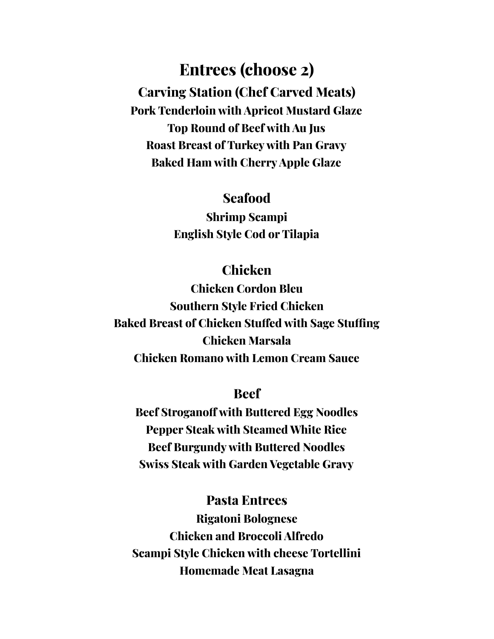**Entrees (choose 2) Carving Station (Chef Carved Meats) Pork Tenderloin with Apricot Mustard Glaze Top Round of Beef with Au Jus Roast Breast of Turkey with Pan Gravy Baked Ham with CherryApple Glaze**

### **Seafood**

**Shrimp Scampi English Style Cod or Tilapia**

### **Chicken**

**Chicken Cordon Bleu Southern Style Fried Chicken Baked Breast of Chicken Stuffed with Sage Stuffing Chicken Marsala Chicken Romano with Lemon Cream Sauce**

#### **Beef**

**Beef Stroganoff with Buttered Egg Noodles Pepper Steak with Steamed White Rice Beef Burgundy with Buttered Noodles Swiss Steak with Garden Vegetable Gravy**

### **Pasta Entrees**

**Rigatoni Bolognese Chicken and Broccoli Alfredo Scampi Style Chicken with cheese Tortellini Homemade Meat Lasagna**